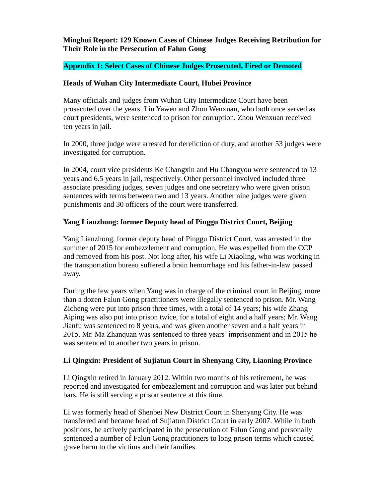**Minghui Report: 129 Known Cases of Chinese Judges Receiving Retribution for Their Role in the Persecution of Falun Gong**

### **Appendix 1: Select Cases of Chinese Judges Prosecuted, Fired or Demoted**

#### **Heads of Wuhan City Intermediate Court, Hubei Province**

Many officials and judges from Wuhan City Intermediate Court have been prosecuted over the years. Liu Yawen and Zhou Wenxuan, who both once served as court presidents, were sentenced to prison for corruption. Zhou Wenxuan received ten years in jail.

In 2000, three judge were arrested for dereliction of duty, and another 53 judges were investigated for corruption.

In 2004, court vice presidents Ke Changxin and Hu Changyou were sentenced to 13 years and 6.5 years in jail, respectively. Other personnel involved included three associate presiding judges, seven judges and one secretary who were given prison sentences with terms between two and 13 years. Another nine judges were given punishments and 30 officers of the court were transferred.

#### **Yang Lianzhong: former Deputy head of Pinggu District Court, Beijing**

Yang Lianzhong, former deputy head of Pinggu District Court, was arrested in the summer of 2015 for embezzlement and corruption. He was expelled from the CCP and removed from his post. Not long after, his wife Li Xiaoling, who was working in the transportation bureau suffered a brain hemorrhage and his father-in-law passed away.

During the few years when Yang was in charge of the criminal court in Beijing, more than a dozen Falun Gong practitioners were illegally sentenced to prison. Mr. Wang Zicheng were put into prison three times, with a total of 14 years; his wife Zhang Aiping was also put into prison twice, for a total of eight and a half years; Mr. Wang Jianfu was sentenced to 8 years, and was given another seven and a half years in 2015. Mr. Ma Zhanquan was sentenced to three years' imprisonment and in 2015 he was sentenced to another two years in prison.

#### **Li Qingxin: President of Sujiatun Court in Shenyang City, Liaoning Province**

Li Qingxin retired in January 2012. Within two months of his retirement, he was reported and investigated for embezzlement and corruption and was later put behind bars. He is still serving a prison sentence at this time.

Li was formerly head of Shenbei New District Court in Shenyang City. He was transferred and became head of Sujiatun District Court in early 2007. While in both positions, he actively participated in the persecution of Falun Gong and personally sentenced a number of Falun Gong practitioners to long prison terms which caused grave harm to the victims and their families.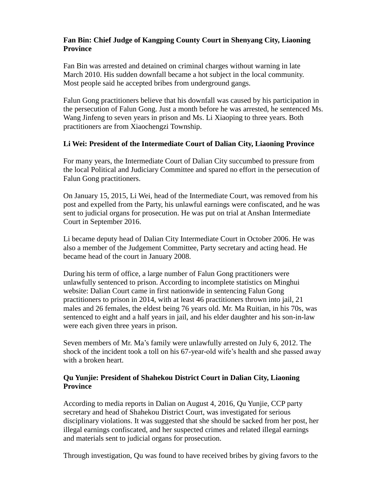# **Fan Bin: Chief Judge of Kangping County Court in Shenyang City, Liaoning Province**

Fan Bin was arrested and detained on criminal charges without warning in late March 2010. His sudden downfall became a hot subject in the local community. Most people said he accepted bribes from underground gangs.

Falun Gong practitioners believe that his downfall was caused by his participation in the persecution of Falun Gong. Just a month before he was arrested, he sentenced Ms. Wang Jinfeng to seven years in prison and Ms. Li Xiaoping to three years. Both practitioners are from Xiaochengzi Township.

### **Li Wei: President of the Intermediate Court of Dalian City, Liaoning Province**

For many years, the Intermediate Court of Dalian City succumbed to pressure from the local Political and Judiciary Committee and spared no effort in the persecution of Falun Gong practitioners.

On January 15, 2015, Li Wei, head of the Intermediate Court, was removed from his post and expelled from the Party, his unlawful earnings were confiscated, and he was sent to judicial organs for prosecution. He was put on trial at Anshan Intermediate Court in September 2016.

Li became deputy head of Dalian City Intermediate Court in October 2006. He was also a member of the Judgement Committee, Party secretary and acting head. He became head of the court in January 2008.

During his term of office, a large number of Falun Gong practitioners were unlawfully sentenced to prison. According to incomplete statistics on Minghui website: Dalian Court came in first nationwide in sentencing Falun Gong practitioners to prison in 2014, with at least 46 practitioners thrown into jail, 21 males and 26 females, the eldest being 76 years old. Mr. Ma Ruitian, in his 70s, was sentenced to eight and a half years in jail, and his elder daughter and his son-in-law were each given three years in prison.

Seven members of Mr. Ma's family were unlawfully arrested on July 6, 2012. The shock of the incident took a toll on his 67-year-old wife's health and she passed away with a broken heart.

### **Qu Yunjie: President of Shahekou District Court in Dalian City, Liaoning Province**

According to media reports in Dalian on August 4, 2016, Qu Yunjie, CCP party secretary and head of Shahekou District Court, was investigated for serious disciplinary violations. It was suggested that she should be sacked from her post, her illegal earnings confiscated, and her suspected crimes and related illegal earnings and materials sent to judicial organs for prosecution.

Through investigation, Qu was found to have received bribes by giving favors to the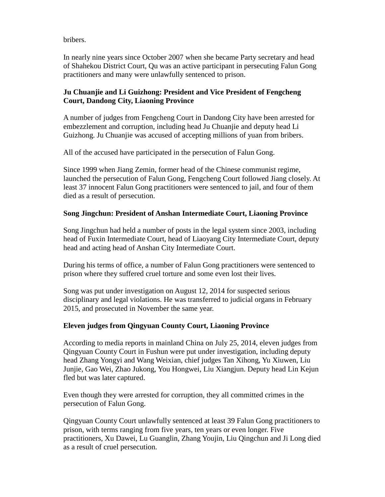bribers.

In nearly nine years since October 2007 when she became Party secretary and head of Shahekou District Court, Qu was an active participant in persecuting Falun Gong practitioners and many were unlawfully sentenced to prison.

# **Ju Chuanjie and Li Guizhong: President and Vice President of Fengcheng Court, Dandong City, Liaoning Province**

A number of judges from Fengcheng Court in Dandong City have been arrested for embezzlement and corruption, including head Ju Chuanjie and deputy head Li Guizhong. Ju Chuanjie was accused of accepting millions of yuan from bribers.

All of the accused have participated in the persecution of Falun Gong.

Since 1999 when Jiang Zemin, former head of the Chinese communist regime, launched the persecution of Falun Gong, Fengcheng Court followed Jiang closely. At least 37 innocent Falun Gong practitioners were sentenced to jail, and four of them died as a result of persecution.

# **Song Jingchun: President of Anshan Intermediate Court, Liaoning Province**

Song Jingchun had held a number of posts in the legal system since 2003, including head of Fuxin Intermediate Court, head of Liaoyang City Intermediate Court, deputy head and acting head of Anshan City Intermediate Court.

During his terms of office, a number of Falun Gong practitioners were sentenced to prison where they suffered cruel torture and some even lost their lives.

Song was put under investigation on August 12, 2014 for suspected serious disciplinary and legal violations. He was transferred to judicial organs in February 2015, and prosecuted in November the same year.

# **Eleven judges from Qingyuan County Court, Liaoning Province**

According to media reports in mainland China on July 25, 2014, eleven judges from Qingyuan County Court in Fushun were put under investigation, including deputy head Zhang Yongyi and Wang Weixian, chief judges Tan Xihong, Yu Xiuwen, Liu Junjie, Gao Wei, Zhao Jukong, You Hongwei, Liu Xiangjun. Deputy head Lin Kejun fled but was later captured.

Even though they were arrested for corruption, they all committed crimes in the persecution of Falun Gong.

Qingyuan County Court unlawfully sentenced at least 39 Falun Gong practitioners to prison, with terms ranging from five years, ten years or even longer. Five practitioners, Xu Dawei, Lu Guanglin, Zhang Youjin, Liu Qingchun and Ji Long died as a result of cruel persecution.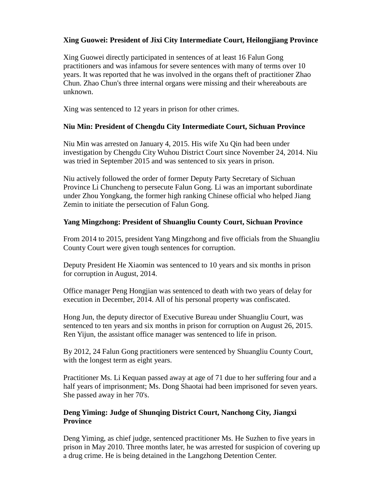# **Xing Guowei: President of Jixi City Intermediate Court, Heilongjiang Province**

Xing Guowei directly participated in sentences of at least 16 Falun Gong practitioners and was infamous for severe sentences with many of terms over 10 years. It was reported that he was involved in the organs theft of practitioner Zhao Chun. Zhao Chun's three internal organs were missing and their whereabouts are unknown.

Xing was sentenced to 12 years in prison for other crimes.

### **Niu Min: President of Chengdu City Intermediate Court, Sichuan Province**

Niu Min was arrested on January 4, 2015. His wife Xu Qin had been under investigation by Chengdu City Wuhou District Court since November 24, 2014. Niu was tried in September 2015 and was sentenced to six years in prison.

Niu actively followed the order of former Deputy Party Secretary of Sichuan Province Li Chuncheng to persecute Falun Gong. Li was an important subordinate under Zhou Yongkang, the former high ranking Chinese official who helped Jiang Zemin to initiate the persecution of Falun Gong.

### **Yang Mingzhong: President of Shuangliu County Court, Sichuan Province**

From 2014 to 2015, president Yang Mingzhong and five officials from the Shuangliu County Court were given tough sentences for corruption.

Deputy President He Xiaomin was sentenced to 10 years and six months in prison for corruption in August, 2014.

Office manager Peng Hongjian was sentenced to death with two years of delay for execution in December, 2014. All of his personal property was confiscated.

Hong Jun, the deputy director of Executive Bureau under Shuangliu Court, was sentenced to ten years and six months in prison for corruption on August 26, 2015. Ren Yijun, the assistant office manager was sentenced to life in prison.

By 2012, 24 Falun Gong practitioners were sentenced by Shuangliu County Court, with the longest term as eight years.

Practitioner Ms. Li Kequan passed away at age of 71 due to her suffering four and a half years of imprisonment; Ms. Dong Shaotai had been imprisoned for seven years. She passed away in her 70's.

### **Deng Yiming: Judge of Shunqing District Court, Nanchong City, Jiangxi Province**

Deng Yiming, as chief judge, sentenced practitioner Ms. He Suzhen to five years in prison in May 2010. Three months later, he was arrested for suspicion of covering up a drug crime. He is being detained in the Langzhong Detention Center.